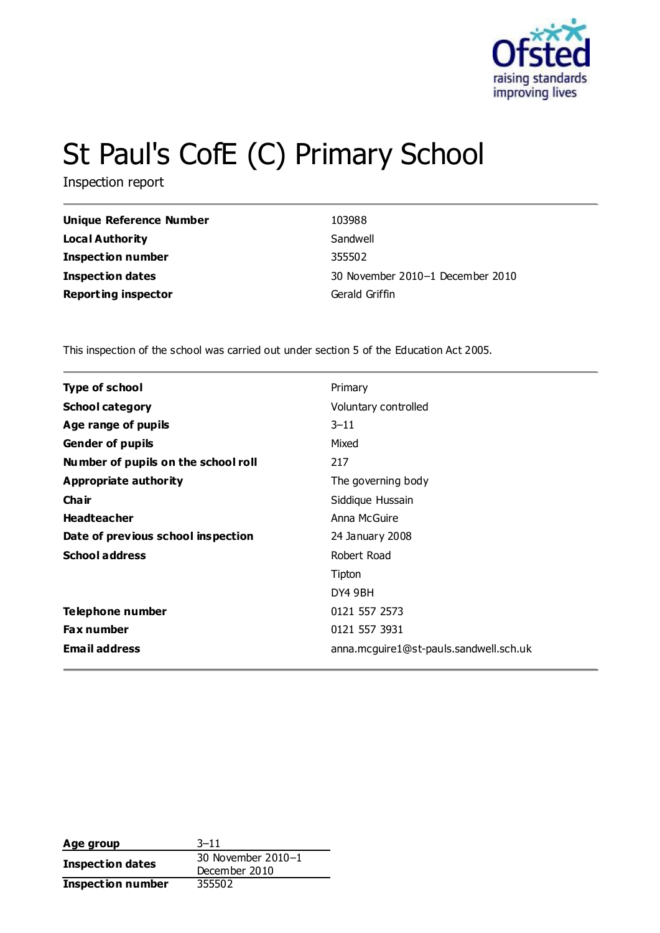

# St Paul's CofE (C) Primary School

Inspection report

| <b>Unique Reference Number</b> | 103988                           |
|--------------------------------|----------------------------------|
| <b>Local Authority</b>         | Sandwell                         |
| <b>Inspection number</b>       | 355502                           |
| <b>Inspection dates</b>        | 30 November 2010-1 December 2010 |
| <b>Reporting inspector</b>     | Gerald Griffin                   |

This inspection of the school was carried out under section 5 of the Education Act 2005.

| Type of school                      | Primary                                |
|-------------------------------------|----------------------------------------|
| <b>School category</b>              | Voluntary controlled                   |
| Age range of pupils                 | $3 - 11$                               |
| <b>Gender of pupils</b>             | Mixed                                  |
| Number of pupils on the school roll | 217                                    |
| Appropriate authority               | The governing body                     |
| Cha ir                              | Siddique Hussain                       |
| <b>Headteacher</b>                  | Anna McGuire                           |
| Date of previous school inspection  | 24 January 2008                        |
| <b>School address</b>               | Robert Road                            |
|                                     | Tipton                                 |
|                                     | DY4 9BH                                |
| Telephone number                    | 0121 557 2573                          |
| <b>Fax number</b>                   | 0121 557 3931                          |
| <b>Email address</b>                | anna.mcguire1@st-pauls.sandwell.sch.uk |

| Age group                | $3 - 11$           |  |
|--------------------------|--------------------|--|
|                          | 30 November 2010-1 |  |
| Inspection dates         | December 2010      |  |
| <b>Inspection number</b> | 355502             |  |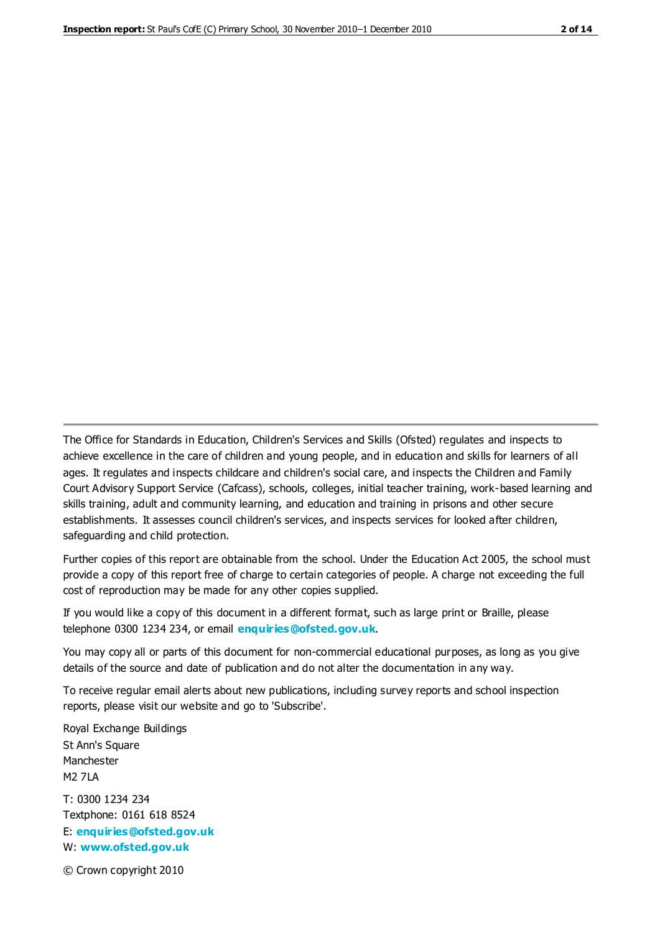The Office for Standards in Education, Children's Services and Skills (Ofsted) regulates and inspects to achieve excellence in the care of children and young people, and in education and skills for learners of all ages. It regulates and inspects childcare and children's social care, and inspects the Children and Family Court Advisory Support Service (Cafcass), schools, colleges, initial teacher training, work-based learning and skills training, adult and community learning, and education and training in prisons and other secure establishments. It assesses council children's services, and inspects services for looked after children, safeguarding and child protection.

Further copies of this report are obtainable from the school. Under the Education Act 2005, the school must provide a copy of this report free of charge to certain categories of people. A charge not exceeding the full cost of reproduction may be made for any other copies supplied.

If you would like a copy of this document in a different format, such as large print or Braille, please telephone 0300 1234 234, or email **[enquiries@ofsted.gov.uk](mailto:enquiries@ofsted.gov.uk)**.

You may copy all or parts of this document for non-commercial educational purposes, as long as you give details of the source and date of publication and do not alter the documentation in any way.

To receive regular email alerts about new publications, including survey reports and school inspection reports, please visit our website and go to 'Subscribe'.

Royal Exchange Buildings St Ann's Square Manchester M2 7LA T: 0300 1234 234 Textphone: 0161 618 8524 E: **[enquiries@ofsted.gov.uk](mailto:enquiries@ofsted.gov.uk)**

W: **[www.ofsted.gov.uk](http://www.ofsted.gov.uk/)**

© Crown copyright 2010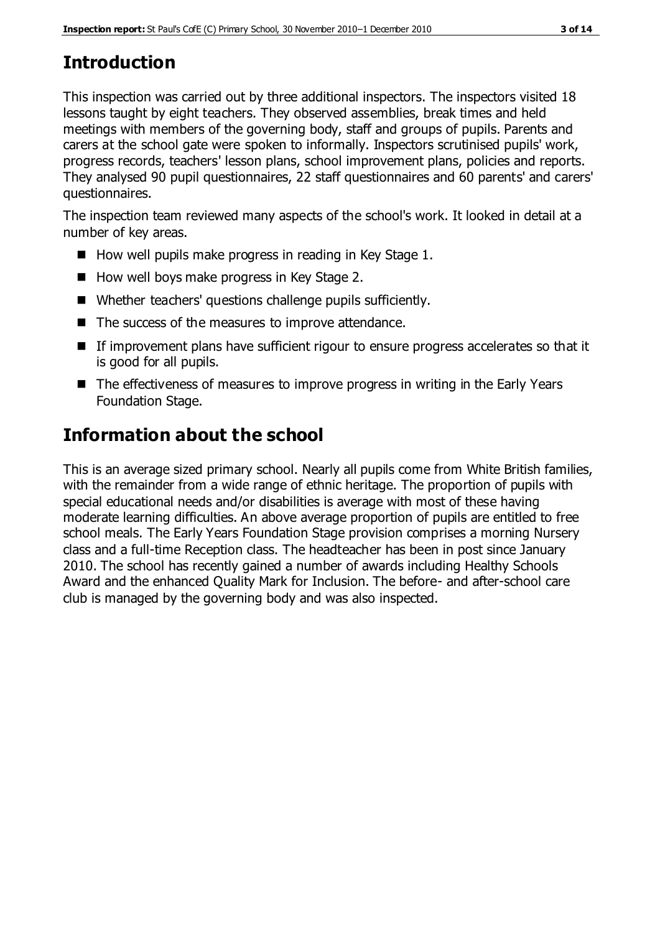# **Introduction**

This inspection was carried out by three additional inspectors. The inspectors visited 18 lessons taught by eight teachers. They observed assemblies, break times and held meetings with members of the governing body, staff and groups of pupils. Parents and carers at the school gate were spoken to informally. Inspectors scrutinised pupils' work, progress records, teachers' lesson plans, school improvement plans, policies and reports. They analysed 90 pupil questionnaires, 22 staff questionnaires and 60 parents' and carers' questionnaires.

The inspection team reviewed many aspects of the school's work. It looked in detail at a number of key areas.

- $\blacksquare$  How well pupils make progress in reading in Key Stage 1.
- $\blacksquare$  How well boys make progress in Key Stage 2.
- Whether teachers' questions challenge pupils sufficiently.
- The success of the measures to improve attendance.
- If improvement plans have sufficient rigour to ensure progress accelerates so that it is good for all pupils.
- The effectiveness of measures to improve progress in writing in the Early Years Foundation Stage.

## **Information about the school**

This is an average sized primary school. Nearly all pupils come from White British families, with the remainder from a wide range of ethnic heritage. The proportion of pupils with special educational needs and/or disabilities is average with most of these having moderate learning difficulties. An above average proportion of pupils are entitled to free school meals. The Early Years Foundation Stage provision comprises a morning Nursery class and a full-time Reception class. The headteacher has been in post since January 2010. The school has recently gained a number of awards including Healthy Schools Award and the enhanced Quality Mark for Inclusion. The before- and after-school care club is managed by the governing body and was also inspected.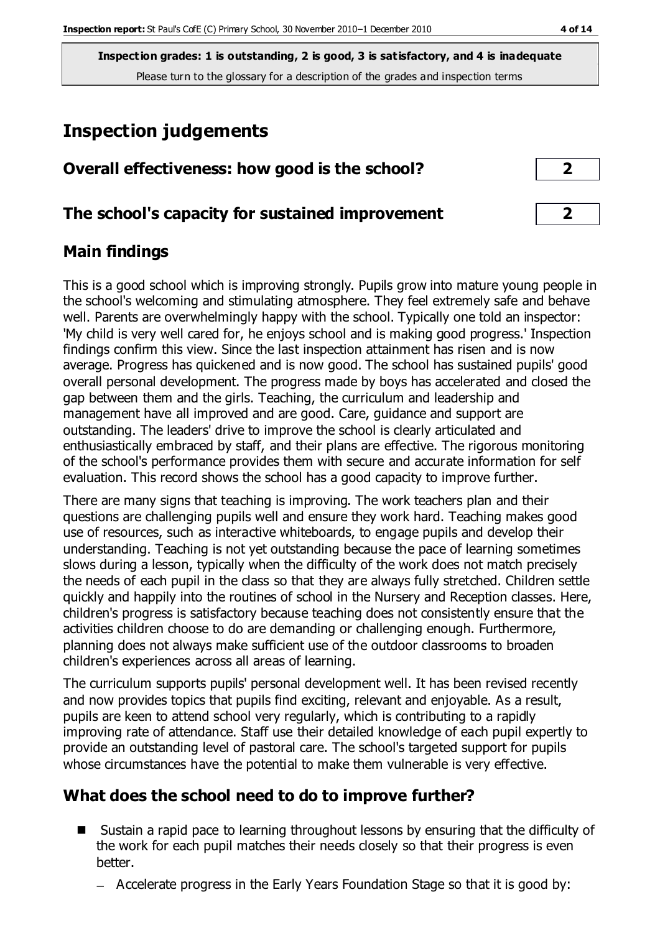**Inspection grades: 1 is outstanding, 2 is good, 3 is satisfactory, and 4 is inadequate** Please turn to the glossary for a description of the grades and inspection terms

# **Inspection judgements**

| Overall effectiveness: how good is the school?  |  |
|-------------------------------------------------|--|
| The school's capacity for sustained improvement |  |

#### **Main findings**

This is a good school which is improving strongly. Pupils grow into mature young people in the school's welcoming and stimulating atmosphere. They feel extremely safe and behave well. Parents are overwhelmingly happy with the school. Typically one told an inspector: 'My child is very well cared for, he enjoys school and is making good progress.' Inspection findings confirm this view. Since the last inspection attainment has risen and is now average. Progress has quickened and is now good. The school has sustained pupils' good overall personal development. The progress made by boys has accelerated and closed the gap between them and the girls. Teaching, the curriculum and leadership and management have all improved and are good. Care, guidance and support are outstanding. The leaders' drive to improve the school is clearly articulated and enthusiastically embraced by staff, and their plans are effective. The rigorous monitoring of the school's performance provides them with secure and accurate information for self evaluation. This record shows the school has a good capacity to improve further.

There are many signs that teaching is improving. The work teachers plan and their questions are challenging pupils well and ensure they work hard. Teaching makes good use of resources, such as interactive whiteboards, to engage pupils and develop their understanding. Teaching is not yet outstanding because the pace of learning sometimes slows during a lesson, typically when the difficulty of the work does not match precisely the needs of each pupil in the class so that they are always fully stretched. Children settle quickly and happily into the routines of school in the Nursery and Reception classes. Here, children's progress is satisfactory because teaching does not consistently ensure that the activities children choose to do are demanding or challenging enough. Furthermore, planning does not always make sufficient use of the outdoor classrooms to broaden children's experiences across all areas of learning.

The curriculum supports pupils' personal development well. It has been revised recently and now provides topics that pupils find exciting, relevant and enjoyable. As a result, pupils are keen to attend school very regularly, which is contributing to a rapidly improving rate of attendance. Staff use their detailed knowledge of each pupil expertly to provide an outstanding level of pastoral care. The school's targeted support for pupils whose circumstances have the potential to make them vulnerable is very effective.

## **What does the school need to do to improve further?**

- Sustain a rapid pace to learning throughout lessons by ensuring that the difficulty of the work for each pupil matches their needs closely so that their progress is even better.
	- Accelerate progress in the Early Years Foundation Stage so that it is good by: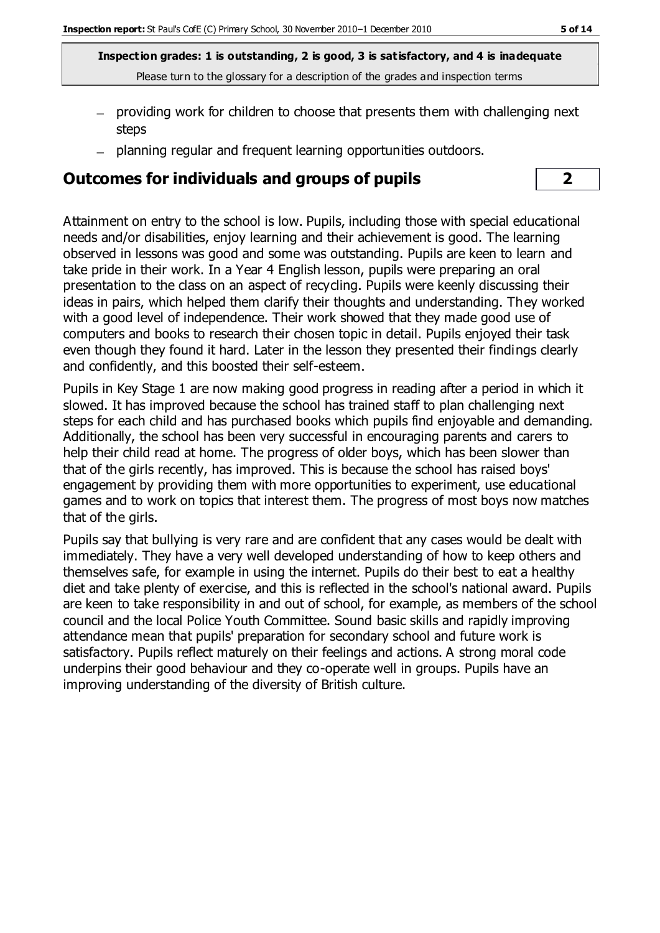**Inspection grades: 1 is outstanding, 2 is good, 3 is satisfactory, and 4 is inadequate** Please turn to the glossary for a description of the grades and inspection terms

- providing work for children to choose that presents them with challenging next steps
- planning regular and frequent learning opportunities outdoors.

#### **Outcomes for individuals and groups of pupils 2**

Attainment on entry to the school is low. Pupils, including those with special educational needs and/or disabilities, enjoy learning and their achievement is good. The learning observed in lessons was good and some was outstanding. Pupils are keen to learn and take pride in their work. In a Year 4 English lesson, pupils were preparing an oral presentation to the class on an aspect of recycling. Pupils were keenly discussing their ideas in pairs, which helped them clarify their thoughts and understanding. They worked with a good level of independence. Their work showed that they made good use of computers and books to research their chosen topic in detail. Pupils enjoyed their task even though they found it hard. Later in the lesson they presented their findings clearly and confidently, and this boosted their self-esteem.

Pupils in Key Stage 1 are now making good progress in reading after a period in which it slowed. It has improved because the school has trained staff to plan challenging next steps for each child and has purchased books which pupils find enjoyable and demanding. Additionally, the school has been very successful in encouraging parents and carers to help their child read at home. The progress of older boys, which has been slower than that of the girls recently, has improved. This is because the school has raised boys' engagement by providing them with more opportunities to experiment, use educational games and to work on topics that interest them. The progress of most boys now matches that of the girls.

Pupils say that bullying is very rare and are confident that any cases would be dealt with immediately. They have a very well developed understanding of how to keep others and themselves safe, for example in using the internet. Pupils do their best to eat a healthy diet and take plenty of exercise, and this is reflected in the school's national award. Pupils are keen to take responsibility in and out of school, for example, as members of the school council and the local Police Youth Committee. Sound basic skills and rapidly improving attendance mean that pupils' preparation for secondary school and future work is satisfactory. Pupils reflect maturely on their feelings and actions. A strong moral code underpins their good behaviour and they co-operate well in groups. Pupils have an improving understanding of the diversity of British culture.

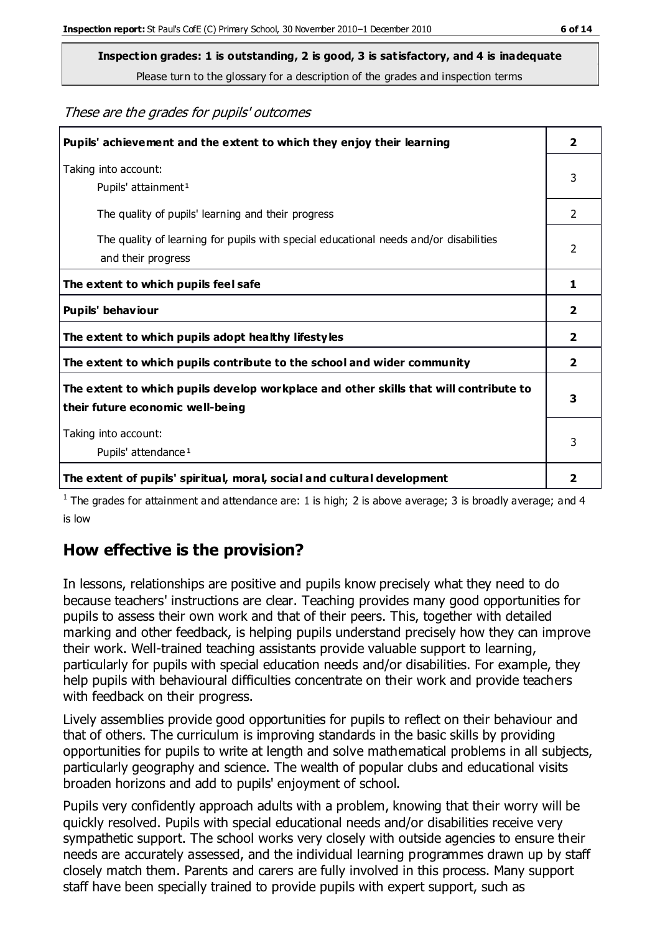**Inspection grades: 1 is outstanding, 2 is good, 3 is satisfactory, and 4 is inadequate**

Please turn to the glossary for a description of the grades and inspection terms

These are the grades for pupils' outcomes

| Pupils' achievement and the extent to which they enjoy their learning                                                     | $\overline{2}$ |
|---------------------------------------------------------------------------------------------------------------------------|----------------|
| Taking into account:<br>Pupils' attainment <sup>1</sup>                                                                   | 3              |
| The quality of pupils' learning and their progress                                                                        | $\mathcal{P}$  |
| The quality of learning for pupils with special educational needs and/or disabilities<br>and their progress               | 2              |
| The extent to which pupils feel safe                                                                                      | 1              |
| Pupils' behaviour                                                                                                         | 2              |
| The extent to which pupils adopt healthy lifestyles                                                                       | 2              |
| The extent to which pupils contribute to the school and wider community                                                   | $\overline{2}$ |
| The extent to which pupils develop workplace and other skills that will contribute to<br>their future economic well-being | 3              |
| Taking into account:<br>Pupils' attendance <sup>1</sup>                                                                   | 3              |
| The extent of pupils' spiritual, moral, social and cultural development                                                   | 2              |

<sup>1</sup> The grades for attainment and attendance are: 1 is high; 2 is above average; 3 is broadly average; and 4 is low

## **How effective is the provision?**

In lessons, relationships are positive and pupils know precisely what they need to do because teachers' instructions are clear. Teaching provides many good opportunities for pupils to assess their own work and that of their peers. This, together with detailed marking and other feedback, is helping pupils understand precisely how they can improve their work. Well-trained teaching assistants provide valuable support to learning, particularly for pupils with special education needs and/or disabilities. For example, they help pupils with behavioural difficulties concentrate on their work and provide teachers with feedback on their progress.

Lively assemblies provide good opportunities for pupils to reflect on their behaviour and that of others. The curriculum is improving standards in the basic skills by providing opportunities for pupils to write at length and solve mathematical problems in all subjects, particularly geography and science. The wealth of popular clubs and educational visits broaden horizons and add to pupils' enjoyment of school.

Pupils very confidently approach adults with a problem, knowing that their worry will be quickly resolved. Pupils with special educational needs and/or disabilities receive very sympathetic support. The school works very closely with outside agencies to ensure their needs are accurately assessed, and the individual learning programmes drawn up by staff closely match them. Parents and carers are fully involved in this process. Many support staff have been specially trained to provide pupils with expert support, such as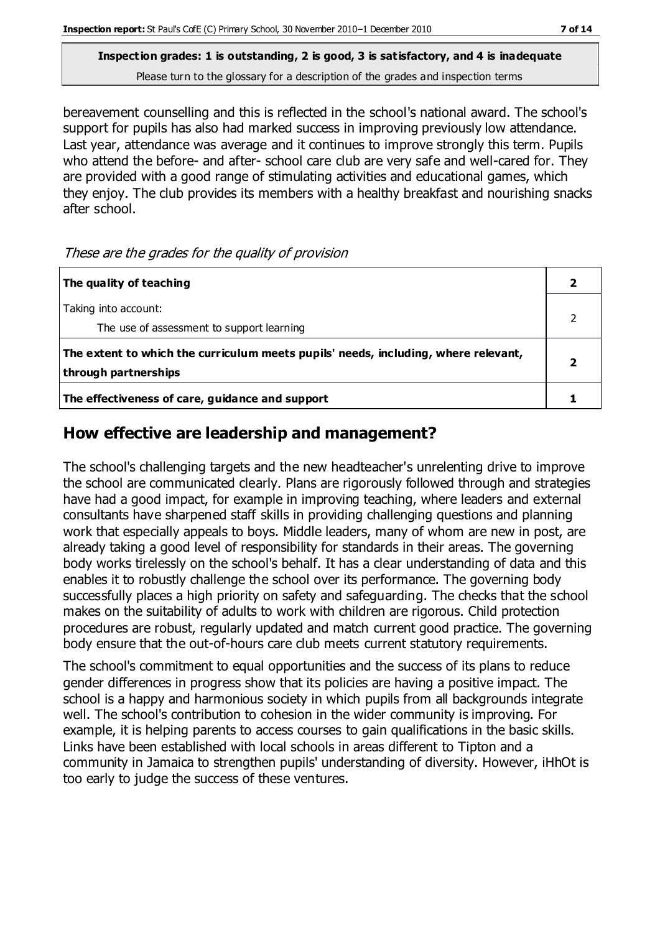**Inspection grades: 1 is outstanding, 2 is good, 3 is satisfactory, and 4 is inadequate** Please turn to the glossary for a description of the grades and inspection terms

bereavement counselling and this is reflected in the school's national award. The school's support for pupils has also had marked success in improving previously low attendance. Last year, attendance was average and it continues to improve strongly this term. Pupils who attend the before- and after- school care club are very safe and well-cared for. They are provided with a good range of stimulating activities and educational games, which they enjoy. The club provides its members with a healthy breakfast and nourishing snacks after school.

These are the grades for the quality of provision

| The quality of teaching                                                                                    |  |
|------------------------------------------------------------------------------------------------------------|--|
| Taking into account:<br>The use of assessment to support learning                                          |  |
| The extent to which the curriculum meets pupils' needs, including, where relevant,<br>through partnerships |  |
| The effectiveness of care, guidance and support                                                            |  |

## **How effective are leadership and management?**

The school's challenging targets and the new headteacher's unrelenting drive to improve the school are communicated clearly. Plans are rigorously followed through and strategies have had a good impact, for example in improving teaching, where leaders and external consultants have sharpened staff skills in providing challenging questions and planning work that especially appeals to boys. Middle leaders, many of whom are new in post, are already taking a good level of responsibility for standards in their areas. The governing body works tirelessly on the school's behalf. It has a clear understanding of data and this enables it to robustly challenge the school over its performance. The governing body successfully places a high priority on safety and safeguarding. The checks that the school makes on the suitability of adults to work with children are rigorous. Child protection procedures are robust, regularly updated and match current good practice. The governing body ensure that the out-of-hours care club meets current statutory requirements.

The school's commitment to equal opportunities and the success of its plans to reduce gender differences in progress show that its policies are having a positive impact. The school is a happy and harmonious society in which pupils from all backgrounds integrate well. The school's contribution to cohesion in the wider community is improving. For example, it is helping parents to access courses to gain qualifications in the basic skills. Links have been established with local schools in areas different to Tipton and a community in Jamaica to strengthen pupils' understanding of diversity. However, iHhOt is too early to judge the success of these ventures.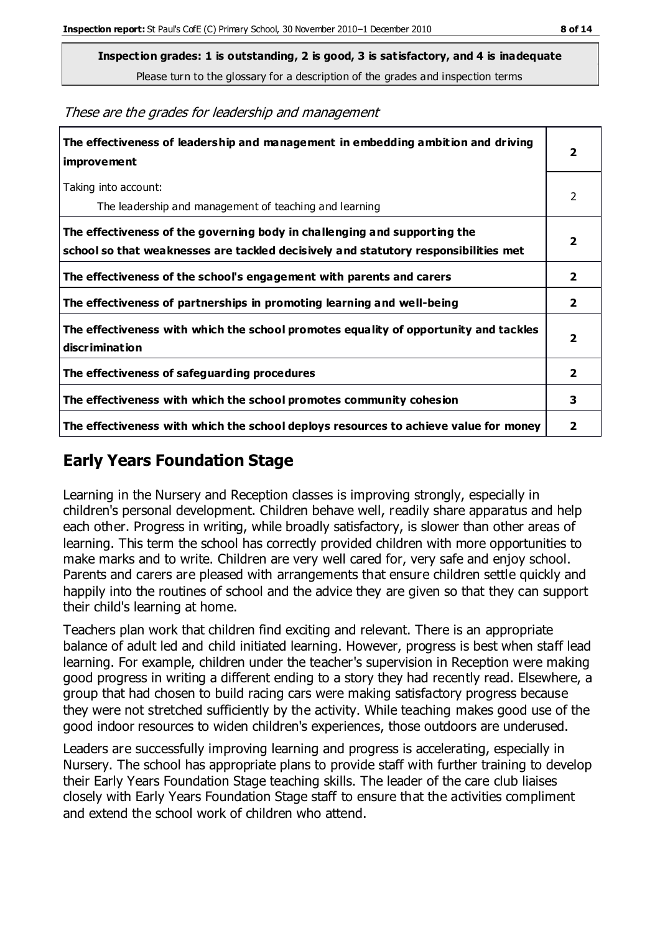**Inspection grades: 1 is outstanding, 2 is good, 3 is satisfactory, and 4 is inadequate**

Please turn to the glossary for a description of the grades and inspection terms

These are the grades for leadership and management

| The effectiveness of leadership and management in embedding ambition and driving<br>improvement                                                                  |                         |
|------------------------------------------------------------------------------------------------------------------------------------------------------------------|-------------------------|
| Taking into account:<br>The leadership and management of teaching and learning                                                                                   | 2                       |
| The effectiveness of the governing body in challenging and supporting the<br>school so that weaknesses are tackled decisively and statutory responsibilities met | $\overline{\mathbf{2}}$ |
| The effectiveness of the school's engagement with parents and carers                                                                                             | $\mathbf{2}$            |
| The effectiveness of partnerships in promoting learning and well-being                                                                                           | $\mathbf{2}$            |
| The effectiveness with which the school promotes equality of opportunity and tackles<br>discrimination                                                           | $\overline{\mathbf{2}}$ |
| The effectiveness of safeguarding procedures                                                                                                                     | $\overline{2}$          |
| The effectiveness with which the school promotes community cohesion                                                                                              | 3                       |
| The effectiveness with which the school deploys resources to achieve value for money                                                                             | 2                       |

#### **Early Years Foundation Stage**

Learning in the Nursery and Reception classes is improving strongly, especially in children's personal development. Children behave well, readily share apparatus and help each other. Progress in writing, while broadly satisfactory, is slower than other areas of learning. This term the school has correctly provided children with more opportunities to make marks and to write. Children are very well cared for, very safe and enjoy school. Parents and carers are pleased with arrangements that ensure children settle quickly and happily into the routines of school and the advice they are given so that they can support their child's learning at home.

Teachers plan work that children find exciting and relevant. There is an appropriate balance of adult led and child initiated learning. However, progress is best when staff lead learning. For example, children under the teacher's supervision in Reception were making good progress in writing a different ending to a story they had recently read. Elsewhere, a group that had chosen to build racing cars were making satisfactory progress because they were not stretched sufficiently by the activity. While teaching makes good use of the good indoor resources to widen children's experiences, those outdoors are underused.

Leaders are successfully improving learning and progress is accelerating, especially in Nursery. The school has appropriate plans to provide staff with further training to develop their Early Years Foundation Stage teaching skills. The leader of the care club liaises closely with Early Years Foundation Stage staff to ensure that the activities compliment and extend the school work of children who attend.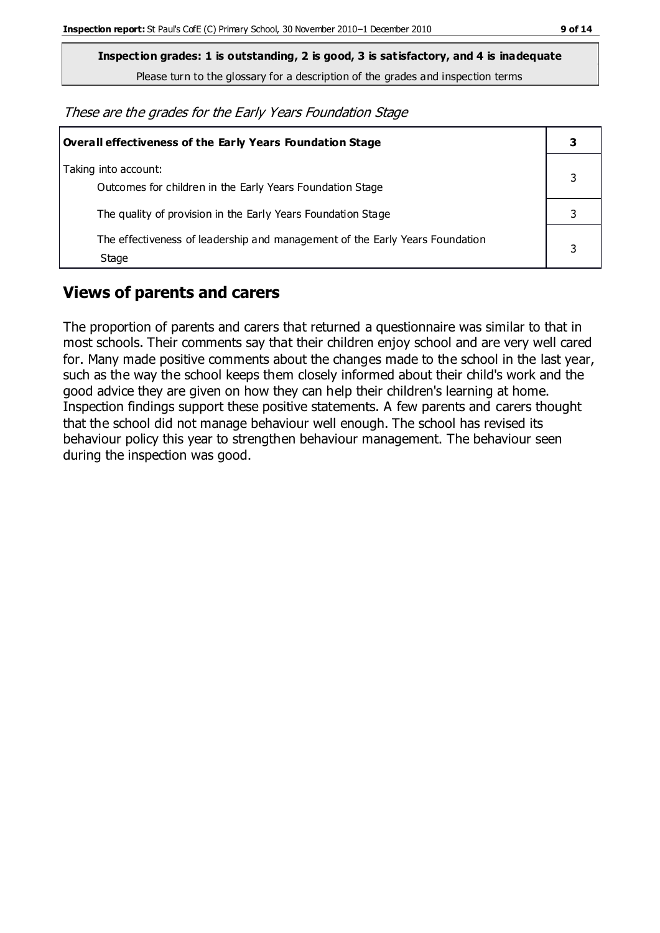**Inspection grades: 1 is outstanding, 2 is good, 3 is satisfactory, and 4 is inadequate**

Please turn to the glossary for a description of the grades and inspection terms

These are the grades for the Early Years Foundation Stage

| <b>Overall effectiveness of the Early Years Foundation Stage</b>                      | 3 |
|---------------------------------------------------------------------------------------|---|
| Taking into account:<br>Outcomes for children in the Early Years Foundation Stage     |   |
| The quality of provision in the Early Years Foundation Stage                          |   |
| The effectiveness of leadership and management of the Early Years Foundation<br>Stage |   |

## **Views of parents and carers**

The proportion of parents and carers that returned a questionnaire was similar to that in most schools. Their comments say that their children enjoy school and are very well cared for. Many made positive comments about the changes made to the school in the last year, such as the way the school keeps them closely informed about their child's work and the good advice they are given on how they can help their children's learning at home. Inspection findings support these positive statements. A few parents and carers thought that the school did not manage behaviour well enough. The school has revised its behaviour policy this year to strengthen behaviour management. The behaviour seen during the inspection was good.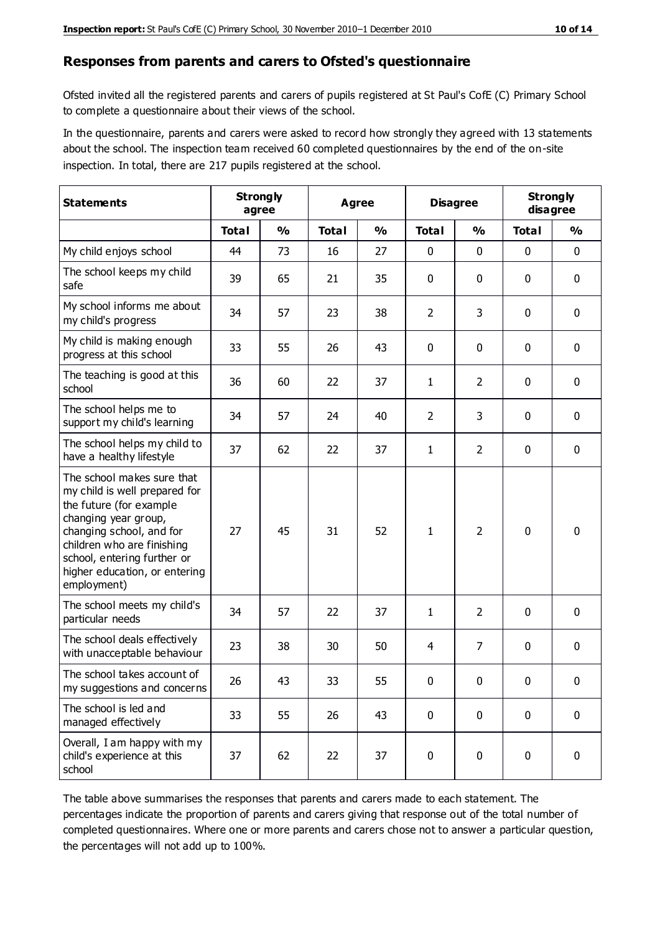#### **Responses from parents and carers to Ofsted's questionnaire**

Ofsted invited all the registered parents and carers of pupils registered at St Paul's CofE (C) Primary School to complete a questionnaire about their views of the school.

In the questionnaire, parents and carers were asked to record how strongly they agreed with 13 statements about the school. The inspection team received 60 completed questionnaires by the end of the on-site inspection. In total, there are 217 pupils registered at the school.

| <b>Statements</b>                                                                                                                                                                                                                                       | <b>Strongly</b><br>agree |               | Agree        |               | <b>Disagree</b> |                | <b>Strongly</b><br>disagree |               |
|---------------------------------------------------------------------------------------------------------------------------------------------------------------------------------------------------------------------------------------------------------|--------------------------|---------------|--------------|---------------|-----------------|----------------|-----------------------------|---------------|
|                                                                                                                                                                                                                                                         | <b>Total</b>             | $\frac{0}{0}$ | <b>Total</b> | $\frac{0}{0}$ | <b>Total</b>    | $\frac{0}{0}$  | <b>Total</b>                | $\frac{0}{0}$ |
| My child enjoys school                                                                                                                                                                                                                                  | 44                       | 73            | 16           | 27            | 0               | 0              | $\mathbf 0$                 | $\mathbf 0$   |
| The school keeps my child<br>safe                                                                                                                                                                                                                       | 39                       | 65            | 21           | 35            | 0               | 0              | $\mathbf 0$                 | $\mathbf 0$   |
| My school informs me about<br>my child's progress                                                                                                                                                                                                       | 34                       | 57            | 23           | 38            | $\overline{2}$  | 3              | $\mathbf 0$                 | $\mathbf 0$   |
| My child is making enough<br>progress at this school                                                                                                                                                                                                    | 33                       | 55            | 26           | 43            | 0               | 0              | 0                           | $\mathbf 0$   |
| The teaching is good at this<br>school                                                                                                                                                                                                                  | 36                       | 60            | 22           | 37            | 1               | $\overline{2}$ | $\mathbf 0$                 | $\mathbf 0$   |
| The school helps me to<br>support my child's learning                                                                                                                                                                                                   | 34                       | 57            | 24           | 40            | $\overline{2}$  | 3              | $\mathbf 0$                 | $\mathbf 0$   |
| The school helps my child to<br>have a healthy lifestyle                                                                                                                                                                                                | 37                       | 62            | 22           | 37            | $\mathbf{1}$    | $\overline{2}$ | $\mathbf 0$                 | $\mathbf 0$   |
| The school makes sure that<br>my child is well prepared for<br>the future (for example<br>changing year group,<br>changing school, and for<br>children who are finishing<br>school, entering further or<br>higher education, or entering<br>employment) | 27                       | 45            | 31           | 52            | 1               | $\overline{2}$ | $\mathbf 0$                 | $\mathbf 0$   |
| The school meets my child's<br>particular needs                                                                                                                                                                                                         | 34                       | 57            | 22           | 37            | 1               | $\overline{2}$ | $\mathbf 0$                 | $\mathbf 0$   |
| The school deals effectively<br>with unacceptable behaviour                                                                                                                                                                                             | 23                       | 38            | 30           | 50            | 4               | 7              | $\mathbf 0$                 | 0             |
| The school takes account of<br>my suggestions and concerns                                                                                                                                                                                              | 26                       | 43            | 33           | 55            | 0               | 0              | 0                           | 0             |
| The school is led and<br>managed effectively                                                                                                                                                                                                            | 33                       | 55            | 26           | 43            | $\mathbf 0$     | $\mathbf 0$    | $\mathbf 0$                 | $\mathbf 0$   |
| Overall, I am happy with my<br>child's experience at this<br>school                                                                                                                                                                                     | 37                       | 62            | 22           | 37            | $\pmb{0}$       | $\pmb{0}$      | $\mathbf 0$                 | $\mathbf 0$   |

The table above summarises the responses that parents and carers made to each statement. The percentages indicate the proportion of parents and carers giving that response out of the total number of completed questionnaires. Where one or more parents and carers chose not to answer a particular question, the percentages will not add up to 100%.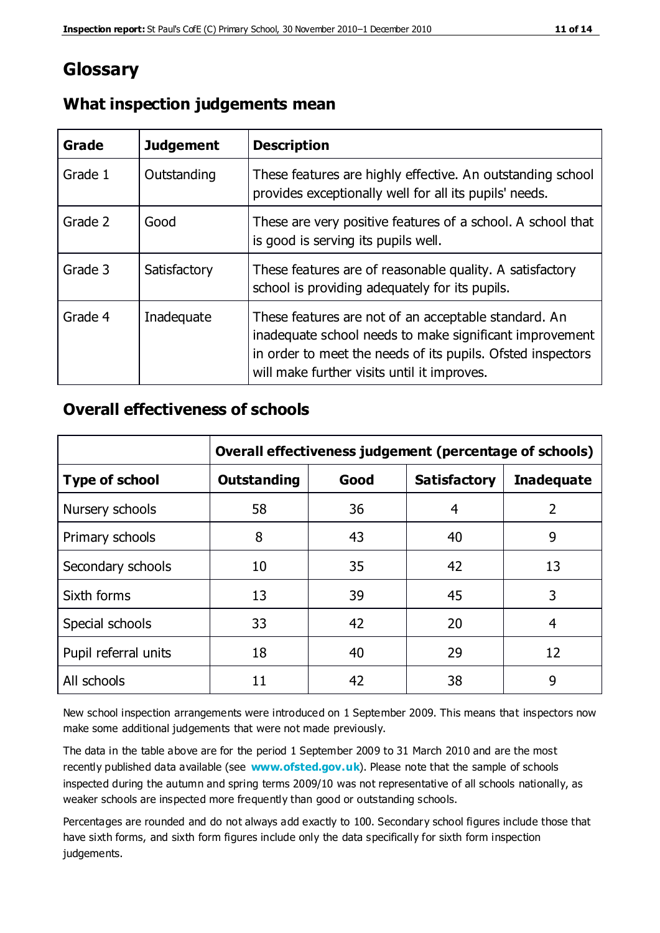## **Glossary**

| Grade   | <b>Judgement</b> | <b>Description</b>                                                                                                                                                                                                            |
|---------|------------------|-------------------------------------------------------------------------------------------------------------------------------------------------------------------------------------------------------------------------------|
| Grade 1 | Outstanding      | These features are highly effective. An outstanding school<br>provides exceptionally well for all its pupils' needs.                                                                                                          |
| Grade 2 | Good             | These are very positive features of a school. A school that<br>is good is serving its pupils well.                                                                                                                            |
| Grade 3 | Satisfactory     | These features are of reasonable quality. A satisfactory<br>school is providing adequately for its pupils.                                                                                                                    |
| Grade 4 | Inadequate       | These features are not of an acceptable standard. An<br>inadequate school needs to make significant improvement<br>in order to meet the needs of its pupils. Ofsted inspectors<br>will make further visits until it improves. |

#### **What inspection judgements mean**

#### **Overall effectiveness of schools**

|                       | Overall effectiveness judgement (percentage of schools) |      |                     |                   |
|-----------------------|---------------------------------------------------------|------|---------------------|-------------------|
| <b>Type of school</b> | <b>Outstanding</b>                                      | Good | <b>Satisfactory</b> | <b>Inadequate</b> |
| Nursery schools       | 58                                                      | 36   | 4                   | 2                 |
| Primary schools       | 8                                                       | 43   | 40                  | 9                 |
| Secondary schools     | 10                                                      | 35   | 42                  | 13                |
| Sixth forms           | 13                                                      | 39   | 45                  | 3                 |
| Special schools       | 33                                                      | 42   | 20                  | 4                 |
| Pupil referral units  | 18                                                      | 40   | 29                  | 12                |
| All schools           | 11                                                      | 42   | 38                  | 9                 |

New school inspection arrangements were introduced on 1 September 2009. This means that inspectors now make some additional judgements that were not made previously.

The data in the table above are for the period 1 September 2009 to 31 March 2010 and are the most recently published data available (see **[www.ofsted.gov.uk](http://www.ofsted.gov.uk/)**). Please note that the sample of schools inspected during the autumn and spring terms 2009/10 was not representative of all schools nationally, as weaker schools are inspected more frequently than good or outstanding schools.

Percentages are rounded and do not always add exactly to 100. Secondary school figures include those that have sixth forms, and sixth form figures include only the data specifically for sixth form inspection judgements.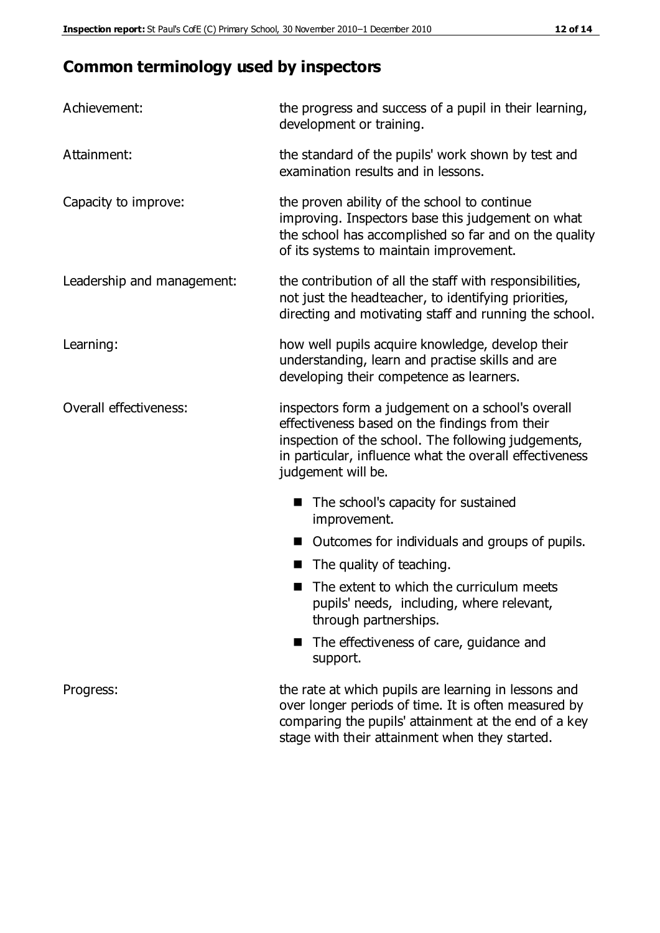# **Common terminology used by inspectors**

| Achievement:               | the progress and success of a pupil in their learning,<br>development or training.                                                                                                                                                          |  |  |
|----------------------------|---------------------------------------------------------------------------------------------------------------------------------------------------------------------------------------------------------------------------------------------|--|--|
| Attainment:                | the standard of the pupils' work shown by test and<br>examination results and in lessons.                                                                                                                                                   |  |  |
| Capacity to improve:       | the proven ability of the school to continue<br>improving. Inspectors base this judgement on what<br>the school has accomplished so far and on the quality<br>of its systems to maintain improvement.                                       |  |  |
| Leadership and management: | the contribution of all the staff with responsibilities,<br>not just the headteacher, to identifying priorities,<br>directing and motivating staff and running the school.                                                                  |  |  |
| Learning:                  | how well pupils acquire knowledge, develop their<br>understanding, learn and practise skills and are<br>developing their competence as learners.                                                                                            |  |  |
| Overall effectiveness:     | inspectors form a judgement on a school's overall<br>effectiveness based on the findings from their<br>inspection of the school. The following judgements,<br>in particular, influence what the overall effectiveness<br>judgement will be. |  |  |
|                            | The school's capacity for sustained<br>improvement.                                                                                                                                                                                         |  |  |
|                            | Outcomes for individuals and groups of pupils.                                                                                                                                                                                              |  |  |
|                            | The quality of teaching.                                                                                                                                                                                                                    |  |  |
|                            | The extent to which the curriculum meets<br>pupils' needs, including, where relevant,<br>through partnerships.                                                                                                                              |  |  |
|                            | The effectiveness of care, guidance and<br>support.                                                                                                                                                                                         |  |  |
| Progress:                  | the rate at which pupils are learning in lessons and<br>over longer periods of time. It is often measured by<br>comparing the pupils' attainment at the end of a key                                                                        |  |  |

stage with their attainment when they started.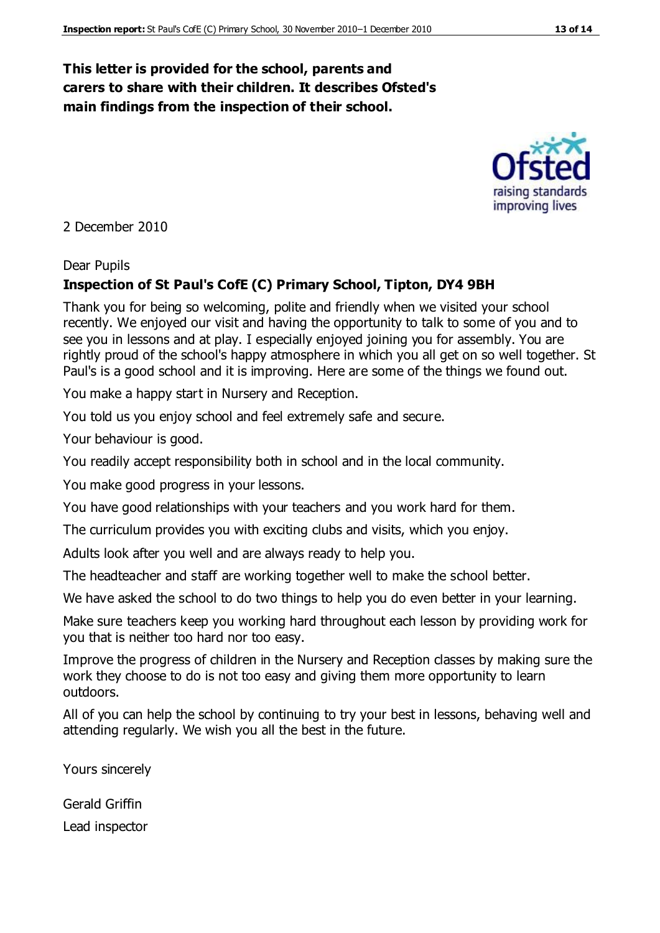#### **This letter is provided for the school, parents and carers to share with their children. It describes Ofsted's main findings from the inspection of their school.**

2 December 2010

#### Dear Pupils

#### **Inspection of St Paul's CofE (C) Primary School, Tipton, DY4 9BH**

Thank you for being so welcoming, polite and friendly when we visited your school recently. We enjoyed our visit and having the opportunity to talk to some of you and to see you in lessons and at play. I especially enjoyed joining you for assembly. You are rightly proud of the school's happy atmosphere in which you all get on so well together. St Paul's is a good school and it is improving. Here are some of the things we found out.

You make a happy start in Nursery and Reception.

You told us you enjoy school and feel extremely safe and secure.

Your behaviour is good.

You readily accept responsibility both in school and in the local community.

You make good progress in your lessons.

You have good relationships with your teachers and you work hard for them.

The curriculum provides you with exciting clubs and visits, which you enjoy.

Adults look after you well and are always ready to help you.

The headteacher and staff are working together well to make the school better.

We have asked the school to do two things to help you do even better in your learning.

Make sure teachers keep you working hard throughout each lesson by providing work for you that is neither too hard nor too easy.

Improve the progress of children in the Nursery and Reception classes by making sure the work they choose to do is not too easy and giving them more opportunity to learn outdoors.

All of you can help the school by continuing to try your best in lessons, behaving well and attending regularly. We wish you all the best in the future.

Yours sincerely

Gerald Griffin Lead inspector



improving lives